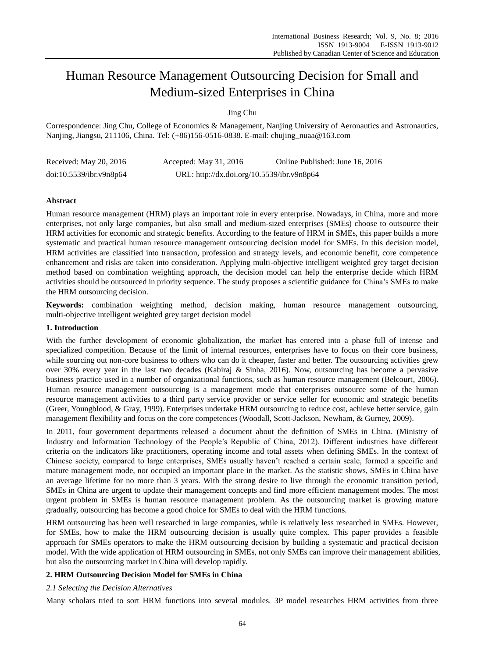# Human Resource Management Outsourcing Decision for Small and Medium-sized Enterprises in China

Jing Chu

Correspondence: Jing Chu, College of Economics & Management, Nanjing University of Aeronautics and Astronautics, Nanjing, Jiangsu, 211106, China. Tel: (+86)156-0516-0838. E-mail: chujing\_nuaa@163.com

| Received: May 20, 2016  | Accepted: May $31, 2016$                   | Online Published: June 16, 2016 |
|-------------------------|--------------------------------------------|---------------------------------|
| doi:10.5539/ibr.v9n8p64 | URL: http://dx.doi.org/10.5539/ibr.v9n8p64 |                                 |

# **Abstract**

Human resource management (HRM) plays an important role in every enterprise. Nowadays, in China, more and more enterprises, not only large companies, but also small and medium-sized enterprises (SMEs) choose to outsource their HRM activities for economic and strategic benefits. According to the feature of HRM in SMEs, this paper builds a more systematic and practical human resource management outsourcing decision model for SMEs. In this decision model, HRM activities are classified into transaction, profession and strategy levels, and economic benefit, core competence enhancement and risks are taken into consideration. Applying multi-objective intelligent weighted grey target decision method based on combination weighting approach, the decision model can help the enterprise decide which HRM activities should be outsourced in priority sequence. The study proposes a scientific guidance for China's SMEs to make the HRM outsourcing decision.

**Keywords:** combination weighting method, decision making, human resource management outsourcing, multi-objective intelligent weighted grey target decision model

# **1. Introduction**

With the further development of economic globalization, the market has entered into a phase full of intense and specialized competition. Because of the limit of internal resources, enterprises have to focus on their core business, while sourcing out non-core business to others who can do it cheaper, faster and better. The outsourcing activities grew over 30% every year in the last two decades (Kabiraj & Sinha, 2016). Now, outsourcing has become a pervasive business practice used in a number of organizational functions, such as human resource management (Belcourt, 2006). Human resource management outsourcing is a management mode that enterprises outsource some of the human resource management activities to a third party service provider or service seller for economic and strategic benefits (Greer, Youngblood, & Gray, 1999). Enterprises undertake HRM outsourcing to reduce cost, achieve better service, gain management flexibility and focus on the core competences (Woodall, Scott-Jackson, Newham, & Gurney, 2009).

In 2011, four government departments released a document about the definition of SMEs in China. (Ministry of Industry and Information Technology of the People's Republic of China, 2012). Different industries have different criteria on the indicators like practitioners, operating income and total assets when defining SMEs. In the context of Chinese society, compared to large enterprises, SMEs usually haven't reached a certain scale, formed a specific and mature management mode, nor occupied an important place in the market. As the statistic shows, SMEs in China have an average lifetime for no more than 3 years. With the strong desire to live through the economic transition period, SMEs in China are urgent to update their management concepts and find more efficient management modes. The most urgent problem in SMEs is human resource management problem. As the outsourcing market is growing mature gradually, outsourcing has become a good choice for SMEs to deal with the HRM functions.

HRM outsourcing has been well researched in large companies, while is relatively less researched in SMEs. However, for SMEs, how to make the HRM outsourcing decision is usually quite complex. This paper provides a feasible approach for SMEs operators to make the HRM outsourcing decision by building a systematic and practical decision model. With the wide application of HRM outsourcing in SMEs, not only SMEs can improve their management abilities, but also the outsourcing market in China will develop rapidly.

# **2. HRM Outsourcing Decision Model for SMEs in China**

# *2.1 Selecting the Decision Alternatives*

Many scholars tried to sort HRM functions into several modules. 3P model researches HRM activities from three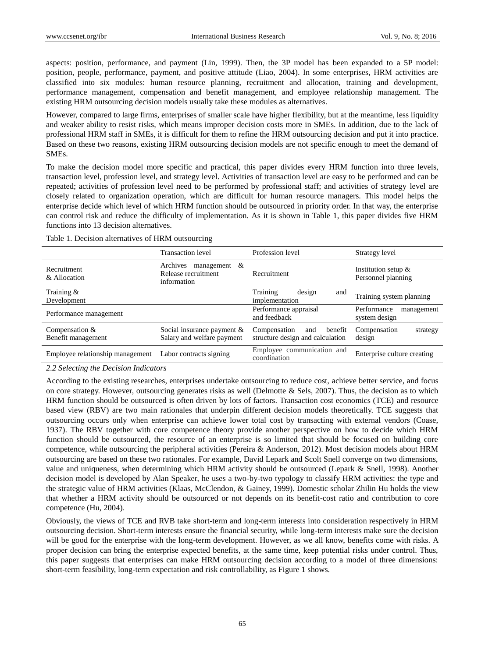aspects: position, performance, and payment (Lin, 1999). Then, the 3P model has been expanded to a 5P model: position, people, performance, payment, and positive attitude (Liao, 2004). In some enterprises, HRM activities are classified into six modules: human resource planning, recruitment and allocation, training and development, performance management, compensation and benefit management, and employee relationship management. The existing HRM outsourcing decision models usually take these modules as alternatives.

However, compared to large firms, enterprises of smaller scale have higher flexibility, but at the meantime, less liquidity and weaker ability to resist risks, which means improper decision costs more in SMEs. In addition, due to the lack of professional HRM staff in SMEs, it is difficult for them to refine the HRM outsourcing decision and put it into practice. Based on these two reasons, existing HRM outsourcing decision models are not specific enough to meet the demand of SMEs.

To make the decision model more specific and practical, this paper divides every HRM function into three levels, transaction level, profession level, and strategy level. Activities of transaction level are easy to be performed and can be repeated; activities of profession level need to be performed by professional staff; and activities of strategy level are closely related to organization operation, which are difficult for human resource managers. This model helps the enterprise decide which level of which HRM function should be outsourced in priority order. In that way, the enterprise can control risk and reduce the difficulty of implementation. As it is shown in Table 1, this paper divides five HRM functions into 13 decision alternatives.

|                                        | <b>Transaction level</b>                                          | Profession level                                                   | Strategy level                               |
|----------------------------------------|-------------------------------------------------------------------|--------------------------------------------------------------------|----------------------------------------------|
| Recruitment<br>& Allocation            | Archives<br>management $\&$<br>Release recruitment<br>information | Recruitment                                                        | Institution setup $\&$<br>Personnel planning |
| Training $&$<br>Development            |                                                                   | Training<br>design<br>and<br>implementation                        | Training system planning                     |
| Performance management                 |                                                                   | Performance appraisal<br>and feedback                              | Performance<br>management<br>system design   |
| Compensation $&$<br>Benefit management | Social insurance payment $\&$<br>Salary and welfare payment       | Compensation<br>benefit<br>and<br>structure design and calculation | Compensation<br>strategy<br>design           |
| Employee relationship management       | Labor contracts signing                                           | Employee communication and<br>coordination                         | Enterprise culture creating                  |

Table 1. Decision alternatives of HRM outsourcing

*2.2 Selecting the Decision Indicators*

According to the existing researches, enterprises undertake outsourcing to reduce cost, achieve better service, and focus on core strategy. However, outsourcing generates risks as well (Delmotte & Sels, 2007). Thus, the decision as to which HRM function should be outsourced is often driven by lots of factors. Transaction cost economics (TCE) and resource based view (RBV) are two main rationales that underpin different decision models theoretically. TCE suggests that outsourcing occurs only when enterprise can achieve lower total cost by transacting with external vendors (Coase, 1937). The RBV together with core competence theory provide another perspective on how to decide which HRM function should be outsourced, the resource of an enterprise is so limited that should be focused on building core competence, while outsourcing the peripheral activities (Pereira & Anderson, 2012). Most decision models about HRM outsourcing are based on these two rationales. For example, David Lepark and Scolt Snell converge on two dimensions, value and uniqueness, when determining which HRM activity should be outsourced (Lepark & Snell, 1998). Another decision model is developed by Alan Speaker, he uses a two-by-two typology to classify HRM activities: the type and the strategic value of HRM activities (Klaas, McClendon, & Gainey, 1999). Domestic scholar Zhilin Hu holds the view that whether a HRM activity should be outsourced or not depends on its benefit-cost ratio and contribution to core competence (Hu, 2004).

Obviously, the views of TCE and RVB take short-term and long-term interests into consideration respectively in HRM outsourcing decision. Short-term interests ensure the financial security, while long-term interests make sure the decision will be good for the enterprise with the long-term development. However, as we all know, benefits come with risks. A proper decision can bring the enterprise expected benefits, at the same time, keep potential risks under control. Thus, this paper suggests that enterprises can make HRM outsourcing decision according to a model of three dimensions: short-term feasibility, long-term expectation and risk controllability, as Figure 1 shows.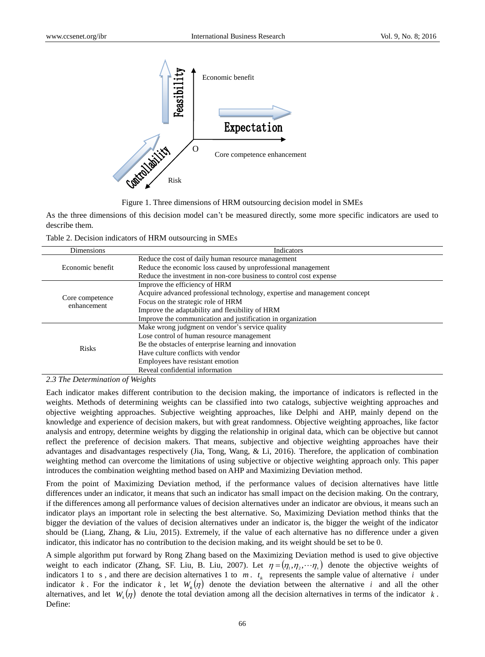

Figure 1. Three dimensions of HRM outsourcing decision model in SMEs

As the three dimensions of this decision model can't be measured directly, some more specific indicators are used to describe them.

Table 2. Decision indicators of HRM outsourcing in SMEs

| Dimensions                     | Indicators                                                                 |
|--------------------------------|----------------------------------------------------------------------------|
| Economic benefit               | Reduce the cost of daily human resource management                         |
|                                | Reduce the economic loss caused by unprofessional management               |
|                                | Reduce the investment in non-core business to control cost expense         |
|                                | Improve the efficiency of HRM                                              |
| Core competence<br>enhancement | Acquire advanced professional technology, expertise and management concept |
|                                | Focus on the strategic role of HRM                                         |
|                                | Improve the adaptability and flexibility of HRM                            |
|                                | Improve the communication and justification in organization                |
| <b>Risks</b>                   | Make wrong judgment on vendor's service quality                            |
|                                | Lose control of human resource management                                  |
|                                | Be the obstacles of enterprise learning and innovation                     |
|                                | Have culture conflicts with vendor                                         |
|                                | Employees have resistant emotion                                           |
|                                | Reveal confidential information                                            |

*2.3 The Determination of Weights*

Each indicator makes different contribution to the decision making, the importance of indicators is reflected in the weights. Methods of determining weights can be classified into two catalogs, subjective weighting approaches and objective weighting approaches. Subjective weighting approaches, like Delphi and AHP, mainly depend on the knowledge and experience of decision makers, but with great randomness. Objective weighting approaches, like factor analysis and entropy, determine weights by digging the relationship in original data, which can be objective but cannot reflect the preference of decision makers. That means, subjective and objective weighting approaches have their advantages and disadvantages respectively (Jia, Tong, Wang, & Li, 2016). Therefore, the application of combination weighting method can overcome the limitations of using subjective or objective weighting approach only. This paper introduces the combination weighting method based on AHP and Maximizing Deviation method.

From the point of Maximizing Deviation method, if the performance values of decision alternatives have little differences under an indicator, it means that such an indicator has small impact on the decision making. On the contrary, if the differences among all performance values of decision alternatives under an indicator are obvious, it means such an indicator plays an important role in selecting the best alternative. So, Maximizing Deviation method thinks that the bigger the deviation of the values of decision alternatives under an indicator is, the bigger the weight of the indicator should be (Liang, Zhang, & Liu, 2015). Extremely, if the value of each alternative has no difference under a given indicator, this indicator has no contribution to the decision making, and its weight should be set to be 0.

A simple algorithm put forward by Rong Zhang based on the Maximizing Deviation method is used to give objective weight to each indicator (Zhang, SF. Liu, B. Liu, 2007). Let  $\eta = (\eta_1, \eta_2, \dots, \eta_s)$  denote the objective weights of indicators 1 to s, and there are decision alternatives 1 to  $m$ .  $t_{ik}$  represents the sample value of alternative *i* under indicator k. For the indicator k, let  $W_{\kappa}(\eta)$  denote the deviation between the alternative i and all the other alternatives, and let  $W_k(\eta)$  denote the total deviation among all the decision alternatives in terms of the indicator k. Define: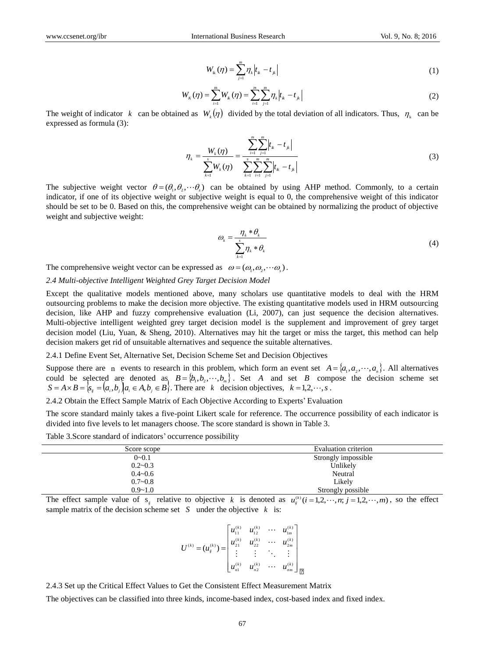$$
W_{ik}(\eta) = \sum_{j=1}^{m} \eta_{k} |t_{ik} - t_{jk}| \tag{1}
$$

$$
W_{K}(\eta) = \sum_{i=1}^{m} W_{ik}(\eta) = \sum_{i=1}^{m} \sum_{j=1}^{m} \eta_{k} \Big| t_{ik} - t_{jk} \Big|
$$
 (2)

The weight of indicator  $k$  can be obtained as  $W_k(\eta)$  divided by the total deviation of all indicators. Thus,  $\eta_k$  can be expressed as formula (3):

$$
\eta_{k} = \frac{W_{k}(\eta)}{\sum_{k=1}^{s} W_{k}(\eta)} = \frac{\sum_{i=1}^{m} \sum_{j=1}^{m} \left| t_{ik} - t_{ik} \right|}{\sum_{k=1}^{s} \sum_{i=1}^{m} \sum_{j=1}^{m} \left| t_{ik} - t_{ik} \right|}
$$
(3)

The subjective weight vector  $\theta = (\theta_1, \theta_2, \dots, \theta_s)$  can be obtained by using AHP method. Commonly, to a certain indicator, if one of its objective weight or subjective weight is equal to 0, the comprehensive weight of this indicator should be set to be 0. Based on this, the comprehensive weight can be obtained by normalizing the product of objective weight and subjective weight:

$$
\omega_{k} = \frac{\eta_{k} * \theta_{k}}{\sum_{k=1}^{s} \eta_{k} * \theta_{k}}
$$
\n(4)

The comprehensive weight vector can be expressed as  $\omega = (\omega_1, \omega_2, \cdots \omega_s)$ .

## *2.4 Multi-objective Intelligent Weighted Grey Target Decision Model*

 $\sum_{j=1}^{\infty}$  7) =  $\frac{1}{2}$  7) idd =  $\frac{1}{2}$  6 ght eig  $\frac{\eta_{\lambda}}{s}$  is  $\frac{\eta_{\lambda}}{s}$  =  $\frac{1}{2}$  6 km as  $\frac{\eta_{\lambda}}{s}$  is  $\frac{\eta_{\lambda}}{s}$  is  $\frac{\eta_{\lambda}}{s}$  is  $\frac{\eta_{\lambda}}{s}$  is  $\frac{\eta_{\lambda}}{s}$  is  $\frac{\eta_{\lambda}}{s}$  is  $\frac{\eta_{\lambda}}$ Except the qualitative models mentioned above, many scholars use quantitative models to deal with the HRM outsourcing problems to make the decision more objective. The existing quantitative models used in HRM outsourcing decision, like AHP and fuzzy comprehensive evaluation (Li, 2007), can just sequence the decision alternatives. Multi-objective intelligent weighted grey target decision model is the supplement and improvement of grey target decision model (Liu, Yuan, & Sheng, 2010). Alternatives may hit the target or miss the target, this method can help decision makers get rid of unsuitable alternatives and sequence the suitable alternatives.

2.4.1 Define Event Set, Alternative Set, Decision Scheme Set and Decision Objectives

Suppose there are n events to research in this problem, which form an event set  $A = \{a_1, a_2, \dots, a_n\}$ . All alternatives could be selected are denoted as  $B = \{b_1, b_2, \dots, b_m\}$ . Set A and set B compose the decision scheme set  $S = A \times B = \{s_{ij} = (a_i, b_j) | a_i \in A, b_j \in B \}$ . There are  $k$  decision objectives,  $k = 1, 2, \dots, s$ .

2.4.2 Obtain the Effect Sample Matrix of Each Objective According to Experts' Evaluation

The score standard mainly takes a five-point Likert scale for reference. The occurrence possibility of each indicator is divided into five levels to let managers choose. The score standard is shown in Table 3.

| Score scope                                                                                                                                                                                                                                                                                                                                                                                                                                                                                                                                                                                | Evaluation criterion                                                              |
|--------------------------------------------------------------------------------------------------------------------------------------------------------------------------------------------------------------------------------------------------------------------------------------------------------------------------------------------------------------------------------------------------------------------------------------------------------------------------------------------------------------------------------------------------------------------------------------------|-----------------------------------------------------------------------------------|
| $0 - 0.1$                                                                                                                                                                                                                                                                                                                                                                                                                                                                                                                                                                                  | Strongly impossible                                                               |
| $0.2 - 0.3$                                                                                                                                                                                                                                                                                                                                                                                                                                                                                                                                                                                | Unlikely                                                                          |
| $0.4 - 0.6$                                                                                                                                                                                                                                                                                                                                                                                                                                                                                                                                                                                | Neutral                                                                           |
| $0.7 - 0.8$                                                                                                                                                                                                                                                                                                                                                                                                                                                                                                                                                                                | Likely                                                                            |
| $0.9 - 1.0$                                                                                                                                                                                                                                                                                                                                                                                                                                                                                                                                                                                | Strongly possible                                                                 |
| $\overline{c}$ $\overline{c}$ $\overline{c}$ $\overline{c}$ $\overline{c}$ $\overline{c}$ $\overline{c}$ $\overline{c}$ $\overline{c}$ $\overline{c}$ $\overline{c}$ $\overline{c}$ $\overline{c}$ $\overline{c}$ $\overline{c}$ $\overline{c}$ $\overline{c}$ $\overline{c}$ $\overline{c}$ $\overline{c}$ $\overline{c}$ $\overline{c}$ $\overline{c}$ $\overline{c}$ $\overline{$<br><b>CONTINUES</b><br>$\frac{1}{2}$ , $\frac{1}{2}$ , $\frac{1}{2}$ , $\frac{1}{2}$ , $\frac{1}{2}$ , $\frac{1}{2}$ , $\frac{1}{2}$ , $\frac{1}{2}$ , $\frac{1}{2}$ , $\frac{1}{2}$<br>$\mathcal{C}$ | $\overline{c}$ $\overline{c}$<br>$(b)$ and $(c)$ and $(d)$ and $(d)$<br>$\cdot$ 1 |

Table 3.Score standard of indicators' occurrence possibility

The effect sample value of  $s_{ij}$  relative to objective k is denoted as  $u_{ij}^{(k)}$  ( $i = 1, 2, \dots, n; j = 1, 2, \dots, m$ ), so the effect sample matrix of the decision scheme set  $S$  under the objective  $k$  is:

$$
U^{(k)} = (u_{ij}^{(k)}) = \begin{bmatrix} u_{11}^{(k)} & u_{12}^{(k)} & \cdots & u_{1m}^{(k)} \\ u_{21}^{(k)} & u_{22}^{(k)} & \cdots & u_{2m}^{(k)} \\ \vdots & \vdots & \ddots & \vdots \\ u_{n1}^{(k)} & u_{n2}^{(k)} & \cdots & u_{nn}^{(k)} \end{bmatrix} \boxed{2}
$$

2.4.3 Set up the Critical Effect Values to Get the Consistent Effect Measurement Matrix

The objectives can be classified into three kinds, income-based index, cost-based index and fixed index.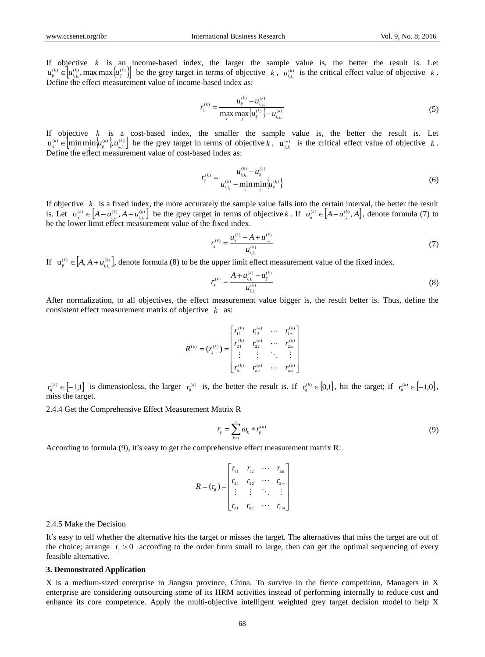If objective  $k$  is an income-based index, the larger the sample value is, the better the result is. Let  $u_{ij}^{(k)} \in [u_{i_0,i_0}^{(k)}, \max_{j_0} \max_{j_0} \{u_{ij}^{(k)}\}]$  be the grey target in terms of objective  $k, u_{i_0,i_0}^{(k)}$  is the critical effect value of objective  $k$ . Define the effect measurement value of income-based index as:

$$
r_{ij}^{(k)} = \frac{u_{ij}^{(k)} - u_{i_{0,i}}^{(k)}}{\max_{i} \max_{j} \{u_{ij}^{(k)}\} - u_{i_{0,i}}^{(k)}}\tag{5}
$$

If objective  $k$  is a cost-based index, the smaller the sample value is, the better the result is. Let  $\mathbf{u}_{ij}^{(k)} \in \left[\min_{i} \min_{j} \left\{ u_{ij}^{(k)} \right\} u_{i,j_0}^{(k)} \right]$  be the grey target in terms of objective k,  $\mathbf{u}_{i,j_0}^{(k)}$  is the critical effect value of objective k. Define the effect measurement value of cost-based index as:

$$
r_{ij}^{(k)} = \frac{u_{i,j_0}^{(k)} - u_{ij}^{(k)}}{u_{i,j_0}^{(k)} - \min_{i} \min_{j} \{u_{ij}^{(k)}\}}
$$
(6)

If objective  $k$  is a fixed index, the more accurately the sample value falls into the certain interval, the better the result is. Let  $\mathbf{u}_{ij}^{(k)} \in \left[A - u_{i,j}^{(k)}, A + u_{i,j}^{(k)}\right]$  be the grey target in terms of objective k. If  $u_{ij}^{(k)} \in \left[A - u_{i,j}^{(k)}, A\right]$ , denote formula (7) to be the lower limit effect measurement value of the fixed index.

$$
r_{ij}^{(k)} = \frac{u_{ij}^{(k)} - A + u_{i,j}^{(k)}}{u_{i,j}^{(k)}}
$$
(7)

If  $u_j^{(k)} \in [A, A + u_{i,j}^{(k)}]$ , denote formula (8) to be the upper limit effect measurement value of the fixed index.

$$
r_{ij}^{(k)} = \frac{A + u_{i,j}^{(k)} - u_{ij}^{(k)}}{u_{i,j}^{(k)}}
$$
(8)

After normalization, to all objectives, the effect measurement value bigger is, the result better is. Thus, define the consistent effect measurement matrix of objective *k* as:

$$
R^{(k)} = (r_{ij}^{(k)}) = \begin{bmatrix} r_{11}^{(k)} & r_{12}^{(k)} & \cdots & r_{1m}^{(k)} \\ r_{21}^{(k)} & r_{22}^{(k)} & \cdots & r_{2m}^{(k)} \\ \vdots & \vdots & \ddots & \vdots \\ r_{n1}^{(k)} & r_{n2}^{(k)} & \cdots & r_{nm}^{(k)} \end{bmatrix}
$$

 $r_i^{(k)} \in [-1,1]$  is dimensionless, the larger  $r_i^{(k)}$  is, the better the result is. If  $r_i^{(k)} \in [0,1]$ , hit the target; if  $r_i^{(k)} \in [-1,0]$ , miss the target.

2.4.4 Get the Comprehensive Effect Measurement Matrix R

$$
r_{ij} = \sum_{k=1}^{s} \omega_k * r_{ij}^{(k)}
$$
\n
$$
(9)
$$

According to formula (9), it's easy to get the comprehensive effect measurement matrix R:

$$
R = (\mathbf{r}_{ij}) = \begin{bmatrix} r_{11} & r_{12} & \cdots & r_{1m} \\ r_{21} & r_{22} & \cdots & r_{2m} \\ \vdots & \vdots & \ddots & \vdots \\ r_{n1} & r_{n2} & \cdots & r_{nm} \end{bmatrix}
$$

# 2.4.5 Make the Decision

It's easy to tell whether the alternative hits the target or misses the target. The alternatives that miss the target are out of the choice; arrange  $r_{ij} > 0$  according to the order from small to large, then can get the optimal sequencing of every feasible alternative.

#### **3. Demonstrated Application**

X is a medium-sized enterprise in Jiangsu province, China. To survive in the fierce competition, Managers in X enterprise are considering outsourcing some of its HRM activities instead of performing internally to reduce cost and enhance its core competence. Apply the multi-objective intelligent weighted grey target decision model to help X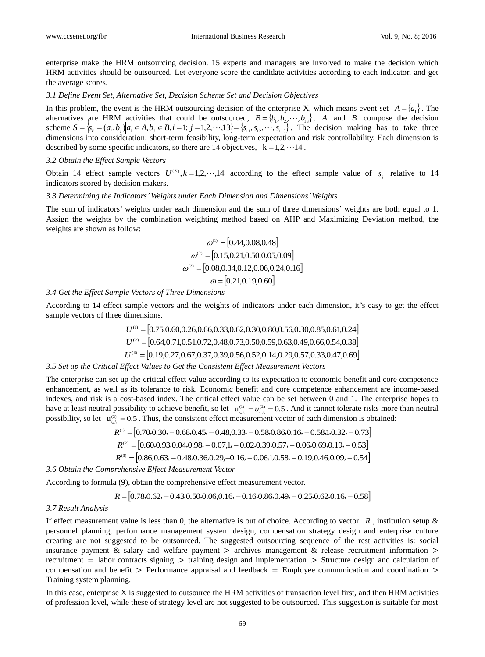enterprise make the HRM outsourcing decision. 15 experts and managers are involved to make the decision which HRM activities should be outsourced. Let everyone score the candidate activities according to each indicator, and get the average scores.

#### *3.1 Define Event Set, Alternative Set, Decision Scheme Set and Decision Objectives*

In this problem, the event is the HRM outsourcing decision of the enterprise X, which means event set  $A = \{a_1\}$ . The alternatives are HRM activities that could be outsourced,  $B = \{b_1, b_2, \dots, b_{13}\}\$ . *A* and *B* compose the decision scheme  $S = \{s_{ij} = (a_i, b_j) | a_i \in A, b_j \in B, i = 1; j = 1, 2, \dots, 13\} = \{s_{i_1}, s_{i_2}, \dots, s_{i_{13}}\}$ . The decision making has to take three dimensions into consideration: short-term feasibility, long-term expectation and risk controllability. Each dimension is described by some specific indicators, so there are 14 objectives,  $k = 1, 2, \dots 14$ .

#### *3.2 Obtain the Effect Sample Vectors*

Obtain 14 effect sample vectors  $U^{(k)}$ ,  $k = 1,2,\dots,14$  according to the effect sample value of  $s_i$  relative to 14 indicators scored by decision makers.

#### *3.3 Determining the Indicators' Weights under Each Dimension and Dimensions' Weights*

The sum of indicators' weights under each dimension and the sum of three dimensions' weights are both equal to 1. Assign the weights by the combination weighting method based on AHP and Maximizing Deviation method, the weights are shown as follow:

$$
\omega^{(1)} = [0.44, 0.08, 0.48]
$$

$$
\omega^{(2)} = [0.15, 0.21, 0.50, 0.05, 0.09]
$$

$$
\omega^{(3)} = [0.08, 0.34, 0.12, 0.06, 0.24, 0.16]
$$

$$
\omega = [0.21, 0.19, 0.60]
$$

# *3.4 Get the Effect Sample Vectors of Three Dimensions*

According to 14 effect sample vectors and the weights of indicators under each dimension, it's easy to get the effect sample vectors of three dimensions.

$$
U^{(1)} = [0.75, 0.60, 0.26, 0.66, 0.33, 0.62, 0.30, 0.80, 0.56, 0.30, 0.85, 0.61, 0.24]
$$
  
\n
$$
U^{(2)} = [0.64, 0.71, 0.51, 0.72, 0.48, 0.73, 0.50, 0.59, 0.63, 0.49, 0.66, 0.54, 0.38]
$$
  
\n
$$
U^{(3)} = [0.19, 0.27, 0.67, 0.37, 0.39, 0.56, 0.52, 0.14, 0.29, 0.57, 0.33, 0.47, 0.69]
$$

## *3.5 Set up the Critical Effect Values to Get the Consistent Effect Measurement Vectors*

The enterprise can set up the critical effect value according to its expectation to economic benefit and core competence enhancement, as well as its tolerance to risk. Economic benefit and core competence enhancement are income-based indexes, and risk is a cost-based index. The critical effect value can be set between 0 and 1. The enterprise hopes to have at least neutral possibility to achieve benefit, so let  $\mathbf{u}_{i_{o,i_o}}^{(1)} = u_{i_{o,i_o}}^{(2)} = 0.5$ . And it cannot tolerate risks more than neutral possibility, so let  $\mathbf{u}_{i,j}^{(3)} = 0.5$ . Thus, the consistent effect measurement vector of each dimension is obtained:

$$
R^{(1)} = [0.70, 0.30, -0.68, 0.45, -0.48, 0.33, -0.58, 0.86, 0.16, -0.58, 1, 0.32, -0.73]
$$
  
\n
$$
R^{(2)} = [0.60, 0.93, 0.04, 0.98, -0.07, 1, -0.02, 0.39, 0.57, -0.06, 0.69, 0.19, -0.53]
$$
  
\n
$$
R^{(3)} = [0.86, 0.63, -0.48, 0.36, 0.29, -0.16, -0.06, 1, 0.58, -0.19, 0.46, 0.09, -0.54]
$$

*3.6 Obtain the Comprehensive Effect Measurement Vector*

According to formula (9), obtain the comprehensive effect measurement vector.

$$
R = [0.78, 0.62, -0.43, 0.50, 0.06, 0.16, -0.16, 0.86, 0.49, -0.25, 0.62, 0.16, -0.58]
$$

#### *3.7 Result Analysis*

If effect measurement value is less than 0, the alternative is out of choice. According to vector  $R$ , institution setup  $\&$ personnel planning, performance management system design, compensation strategy design and enterprise culture creating are not suggested to be outsourced. The suggested outsourcing sequence of the rest activities is: social insurance payment  $\&$  salary and welfare payment  $>$  archives management  $\&$  release recruitment information  $>$ recruitment  $=$  labor contracts signing  $>$  training design and implementation  $>$  Structure design and calculation of compensation and benefit  $>$  Performance appraisal and feedback = Employee communication and coordination  $>$ Training system planning.

In this case, enterprise X is suggested to outsource the HRM activities of transaction level first, and then HRM activities of profession level, while these of strategy level are not suggested to be outsourced. This suggestion is suitable for most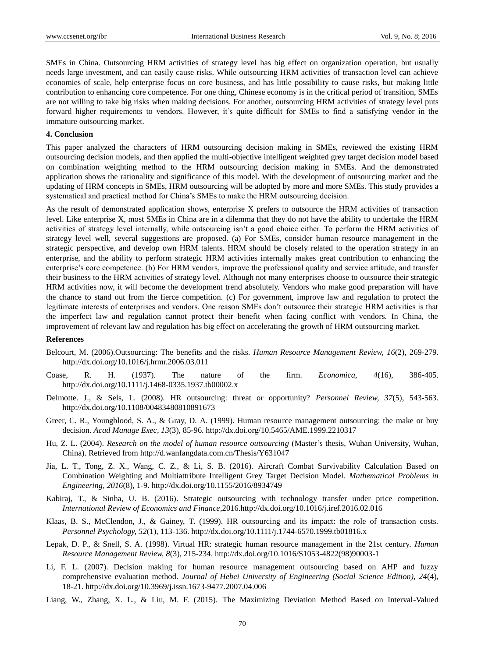SMEs in China. Outsourcing HRM activities of strategy level has big effect on organization operation, but usually needs large investment, and can easily cause risks. While outsourcing HRM activities of transaction level can achieve economies of scale, help enterprise focus on core business, and has little possibility to cause risks, but making little contribution to enhancing core competence. For one thing, Chinese economy is in the critical period of transition, SMEs are not willing to take big risks when making decisions. For another, outsourcing HRM activities of strategy level puts forward higher requirements to vendors. However, it's quite difficult for SMEs to find a satisfying vendor in the immature outsourcing market.

## **4. Conclusion**

This paper analyzed the characters of HRM outsourcing decision making in SMEs, reviewed the existing HRM outsourcing decision models, and then applied the multi-objective intelligent weighted grey target decision model based on combination weighting method to the HRM outsourcing decision making in SMEs. And the demonstrated application shows the rationality and significance of this model. With the development of outsourcing market and the updating of HRM concepts in SMEs, HRM outsourcing will be adopted by more and more SMEs. This study provides a systematical and practical method for China's SMEs to make the HRM outsourcing decision.

As the result of demonstrated application shows, enterprise X prefers to outsource the HRM activities of transaction level. Like enterprise X, most SMEs in China are in a dilemma that they do not have the ability to undertake the HRM activities of strategy level internally, while outsourcing isn't a good choice either. To perform the HRM activities of strategy level well, several suggestions are proposed. (a) For SMEs, consider human resource management in the strategic perspective, and develop own HRM talents. HRM should be closely related to the operation strategy in an enterprise, and the ability to perform strategic HRM activities internally makes great contribution to enhancing the enterprise's core competence. (b) For HRM vendors, improve the professional quality and service attitude, and transfer their business to the HRM activities of strategy level. Although not many enterprises choose to outsource their strategic HRM activities now, it will become the development trend absolutely. Vendors who make good preparation will have the chance to stand out from the fierce competition. (c) For government, improve law and regulation to protect the legitimate interests of enterprises and vendors. One reason SMEs don't outsource their strategic HRM activities is that the imperfect law and regulation cannot protect their benefit when facing conflict with vendors. In China, the improvement of relevant law and regulation has big effect on accelerating the growth of HRM outsourcing market.

# **References**

- Belcourt, M. (2006).Outsourcing: The benefits and the risks. *Human Resource Management Review, 16*(2), 269-279. http://dx.doi.org[/10.1016/j.hrmr.2006.03.011](http://dx.doi.org/10.1016/j.hrmr.2006.03.011)
- Coase, R. H. (1937). The nature of the firm. *Economica, 4*(16), 386-405. http://dx.doi.org/10.1111/j.1468-0335.1937.tb00002.x
- Delmotte. J., & Sels, L. (2008). HR outsourcing: threat or opportunity? *Personnel Review, 37*(5), 543-563. <http://dx.doi.org/10.1108/00483480810891673>
- Greer, C. R., Youngblood, S. A., & Gray, D. A. (1999). Human resource management outsourcing: the make or buy decision. *Acad Manage Exec, 13*(3), 85-96[. http://dx.doi.org/10.5465/AME.1999.2210317](http://dx.doi.org/10.5465/AME.1999.2210317)
- Hu, Z. L. (2004). *Research on the model of human resource outsourcing* (Master's thesis, Wuhan University, Wuhan, China). Retrieved from<http://d.wanfangdata.com.cn/Thesis/Y631047>
- Jia, L. T., Tong, Z. X., Wang, C. Z., & Li, S. B. (2016). Aircraft Combat Survivability Calculation Based on Combination Weighting and Multiattribute Intelligent Grey Target Decision Model. *Mathematical Problems in Engineering, 2016*(8), 1-9. http://dx.doi.org/10.1155/2016/8934749
- Kabiraj, T., & Sinha, U. B. (2016). Strategic outsourcing with technology transfer under price competition. *International Review of Economics and Finance,*2016.http://dx.doi.org[/10.1016/j.iref.2016.02.016](http://dx.doi.org/10.1016/j.iref.2016.02.016)
- Klaas, B. S., McClendon, J., & Gainey, T. (1999). HR outsourcing and its impact: the role of transaction costs. *Personnel Psychology, 52*(1), 113-136.<http://dx.doi.org/10.1111/j.1744-6570.1999.tb01816.x>
- Lepak, D. P., & Snell, S. A. (1998). Virtual HR: strategic human resource management in the 21st century. *Human Resource Management Review, 8*(3), 215-234. http://dx.doi.org[/10.1016/S1053-4822\(98\)90003-1](http://dx.doi.org/10.1016/S1053-4822(98)90003-1)
- Li, F. L. (2007). Decision making for human resource management outsourcing based on AHP and fuzzy comprehensive evaluation method. *Journal of Hebei University of Engineering (Social Science Edition), 24*(4), 18-21. http://dx.doi.org[/10.3969/j.issn.1673-9477.2007.04.006](http://dx.chinadoi.cn/10.3969%2fj.issn.1673-9477.2007.04.006)
- Liang, W., Zhang, X. L., & Liu, M. F. (2015). The Maximizing Deviation Method Based on Interval-Valued